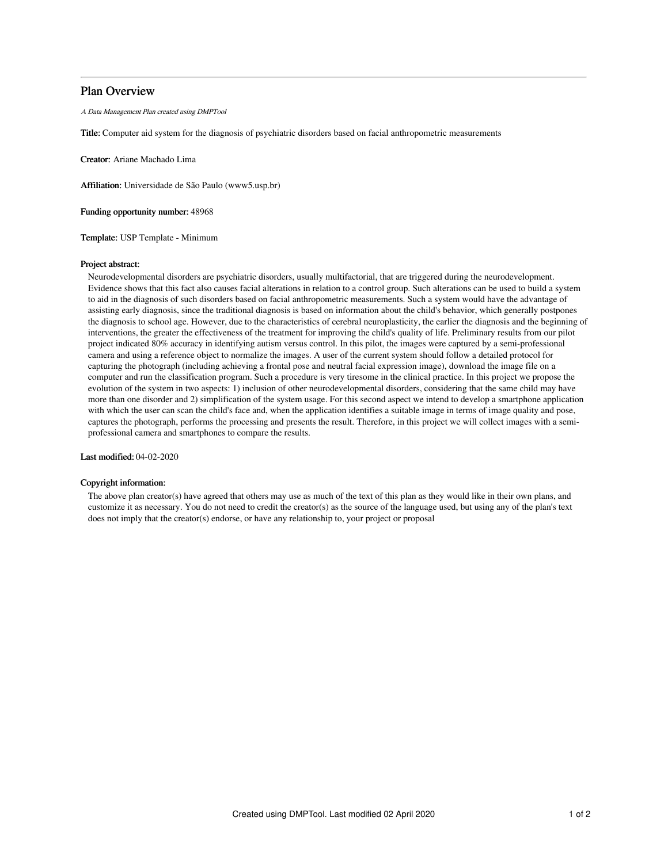# Plan Overview

A Data Management Plan created using DMPTool

Title: Computer aid system for the diagnosis of psychiatric disorders based on facial anthropometric measurements

Creator: Ariane Machado Lima

Affiliation: Universidade de São Paulo (www5.usp.br)

Funding opportunity number: 48968

Template: USP Template - Minimum

### Project abstract:

Neurodevelopmental disorders are psychiatric disorders, usually multifactorial, that are triggered during the neurodevelopment. Evidence shows that this fact also causes facial alterations in relation to a control group. Such alterations can be used to build a system to aid in the diagnosis of such disorders based on facial anthropometric measurements. Such a system would have the advantage of assisting early diagnosis, since the traditional diagnosis is based on information about the child's behavior, which generally postpones the diagnosis to school age. However, due to the characteristics of cerebral neuroplasticity, the earlier the diagnosis and the beginning of interventions, the greater the effectiveness of the treatment for improving the child's quality of life. Preliminary results from our pilot project indicated 80% accuracy in identifying autism versus control. In this pilot, the images were captured by a semi-professional camera and using a reference object to normalize the images. A user of the current system should follow a detailed protocol for capturing the photograph (including achieving a frontal pose and neutral facial expression image), download the image file on a computer and run the classification program. Such a procedure is very tiresome in the clinical practice. In this project we propose the evolution of the system in two aspects: 1) inclusion of other neurodevelopmental disorders, considering that the same child may have more than one disorder and 2) simplification of the system usage. For this second aspect we intend to develop a smartphone application with which the user can scan the child's face and, when the application identifies a suitable image in terms of image quality and pose, captures the photograph, performs the processing and presents the result. Therefore, in this project we will collect images with a semiprofessional camera and smartphones to compare the results.

Last modified: 04-02-2020

### Copyright information:

The above plan creator(s) have agreed that others may use as much of the text of this plan as they would like in their own plans, and customize it as necessary. You do not need to credit the creator(s) as the source of the language used, but using any of the plan's text does not imply that the creator(s) endorse, or have any relationship to, your project or proposal